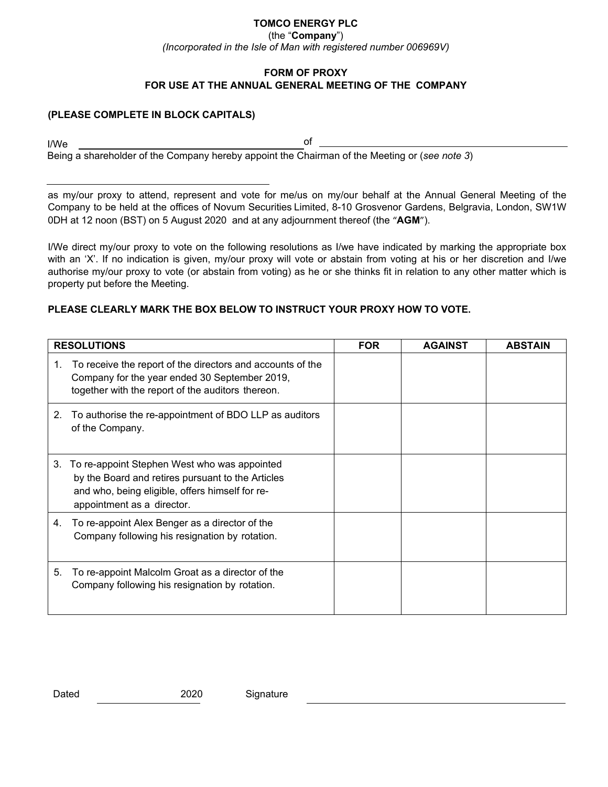## **TOMCO ENERGY PLC**

(the "**Company**")

*(Incorporated in the Isle of Man with registered number 006969V)*

### **FORM OF PROXY FOR USE AT THE ANNUAL GENERAL MEETING OF THE COMPANY**

### **(PLEASE COMPLETE IN BLOCK CAPITALS)**

I/We of Being a shareholder of the Company hereby appoint the Chairman of the Meeting or (*see note 3*)

as my/our proxy to attend, represent and vote for me/us on my/our behalf at the Annual General Meeting of the Company to be held at the offices of Novum Securities Limited, 8-10 Grosvenor Gardens, Belgravia, London, SW1W 0DH at 12 noon (BST) on 5 August 2020 and at any adjournment thereof (the "**AGM**").

I/We direct my/our proxy to vote on the following resolutions as I/we have indicated by marking the appropriate box with an 'X'. If no indication is given, my/our proxy will vote or abstain from voting at his or her discretion and I/we authorise my/our proxy to vote (or abstain from voting) as he or she thinks fit in relation to any other matter which is property put before the Meeting.

# **PLEASE CLEARLY MARK THE BOX BELOW TO INSTRUCT YOUR PROXY HOW TO VOTE.**

| <b>RESOLUTIONS</b> |                                                                                                                                                                                    | <b>FOR</b> | <b>AGAINST</b> | <b>ABSTAIN</b> |
|--------------------|------------------------------------------------------------------------------------------------------------------------------------------------------------------------------------|------------|----------------|----------------|
| 1.                 | To receive the report of the directors and accounts of the<br>Company for the year ended 30 September 2019,<br>together with the report of the auditors thereon.                   |            |                |                |
| 2.                 | To authorise the re-appointment of BDO LLP as auditors<br>of the Company.                                                                                                          |            |                |                |
| 3.                 | To re-appoint Stephen West who was appointed<br>by the Board and retires pursuant to the Articles<br>and who, being eligible, offers himself for re-<br>appointment as a director. |            |                |                |
| 4.                 | To re-appoint Alex Benger as a director of the<br>Company following his resignation by rotation.                                                                                   |            |                |                |
| 5.                 | To re-appoint Malcolm Groat as a director of the<br>Company following his resignation by rotation.                                                                                 |            |                |                |